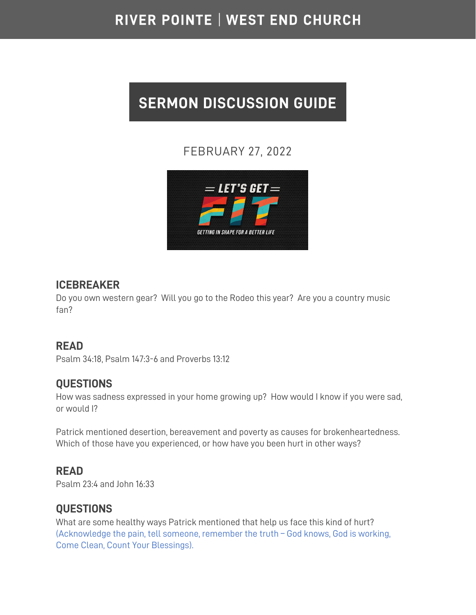# RIVER POINTE | WEST END CHURCH

# **SERMON DISCUSSION GUIDE**

## FEBRUARY 27, 2022



#### **ICEBREAKER**

Do you own western gear? Will you go to the Rodeo this year? Are you a country music fan?

#### **READ**

Psalm 34:18, Psalm 147:3-6 and Proverbs 13:12

#### **QUESTIONS**

How was sadness expressed in your home growing up? How would I know if you were sad, or would I?

Patrick mentioned desertion, bereavement and poverty as causes for brokenheartedness. Which of those have you experienced, or how have you been hurt in other ways?

#### **READ**

Psalm 23:4 and John 16:33

#### **QUESTIONS**

What are some healthy ways Patrick mentioned that help us face this kind of hurt? (Acknowledge the pain, tell someone, remember the truth – God knows, God is working, Come Clean, Count Your Blessings).